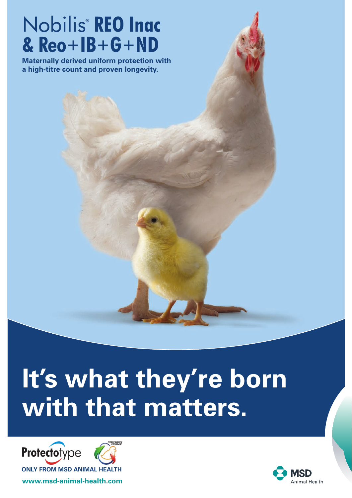# Nobilis<sup>®</sup> REO Inac &  $Reo+IB+G+ND$

**Maternally derived uniform protection with a high-titre count and proven longevity.**

# **It's what they're born with that matters.**



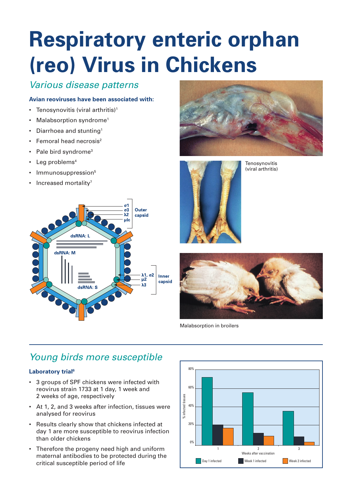# **Respiratory enteric orphan (reo) Virus in Chickens**

# *Various disease patterns*

# **Avian reoviruses have been associated with:**

- Tenosynovitis (viral arthritis)<sup>1</sup>
- Malabsorption syndrome<sup>1</sup>
- Diarrhoea and stunting<sup>1</sup>
- Femoral head necrosis<sup>2</sup>
- Pale bird syndrome<sup>3</sup>
- Leg problems<sup>4</sup>
- Immunosuppression<sup>5</sup>
- Increased mortality<sup>7</sup>







**Tenosynovitis** (viral arthritis)



Malabsorption in broilers

# *Young birds more susceptible*

# **Laboratory trial<sup>6</sup>**

- 3 groups of SPF chickens were infected with reovirus strain 1733 at 1 day, 1 week and 2 weeks of age, respectively
- At 1, 2, and 3 weeks after infection, tissues were analysed for reovirus
- Results clearly show that chickens infected at day 1 are more susceptible to reovirus infection than older chickens
- Therefore the progeny need high and uniform maternal antibodies to be protected during the critical susceptible period of life

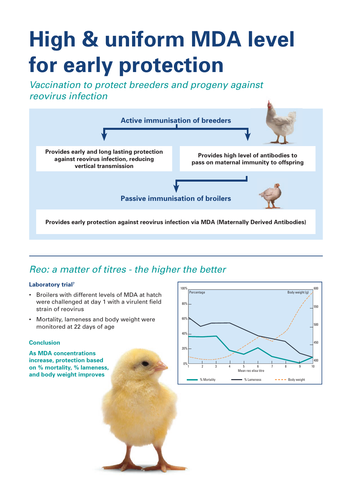# **High & uniform MDA level for early protection**

*Vaccination to protect breeders and progeny against reovirus infection*



# *Reo: a matter of titres - the higher the better*

# **Laboratory trial7**

- Broilers with different levels of MDA at hatch were challenged at day 1 with a virulent field strain of reovirus
- Mortality, lameness and body weight were monitored at 22 days of age

#### **Conclusion**

**As MDA concentrations increase, protection based on % mortality, % lameness, and body weight improves**

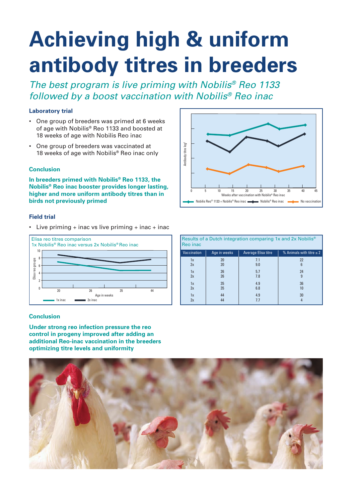# **Achieving high & uniform antibody titres in breeders**

*The best program is live priming with Nobilis® Reo 1133 followed by a boost vaccination with Nobilis® Reo inac*

#### **Laboratory trial**

- One group of breeders was primed at 6 weeks of age with Nobilis® Reo 1133 and boosted at 18 weeks of age with Nobilis Reo inac
- One group of breeders was vaccinated at 18 weeks of age with Nobilis<sup>®</sup> Reo inac only

#### **Conclusion**

**In breeders primed with Nobilis® Reo 1133, the Nobilis® Reo inac booster provides longer lasting, higher and more uniform antibody titres than in birds not previously primed**

#### **Field trial**

• Live priming  $+$  inac vs live priming  $+$  inac  $+$  inac



#### **Conclusion**

**Under strong reo infection pressure the reo control in progeny improved after adding an additional Reo-inac vaccination in the breeders optimizing titre levels and uniformity**



| Results of a Dutch integration comparing 1x and 2x Nobilis <sup>®</sup><br>Reo inac |              |                     |                               |  |  |  |  |
|-------------------------------------------------------------------------------------|--------------|---------------------|-------------------------------|--|--|--|--|
| Vaccination                                                                         | Age in weeks | Average Elisa titre | % Animals with titre $\leq 2$ |  |  |  |  |
| 1x                                                                                  | 20           | 7.1                 | 22                            |  |  |  |  |
| 2x                                                                                  | 20           | 9.0                 | 6                             |  |  |  |  |
| 1x                                                                                  | 26           | 5.7                 | 24                            |  |  |  |  |
| 2x                                                                                  | 26           | 7.8                 | $\mathbf{q}$                  |  |  |  |  |
| 1x                                                                                  | 35           | 4.9                 | 36                            |  |  |  |  |
| 2x                                                                                  | 35           | 6.8                 | 10                            |  |  |  |  |
| 1x                                                                                  | 44           | 4.9                 | 30                            |  |  |  |  |
| 2x                                                                                  | 44           | 7.7                 |                               |  |  |  |  |

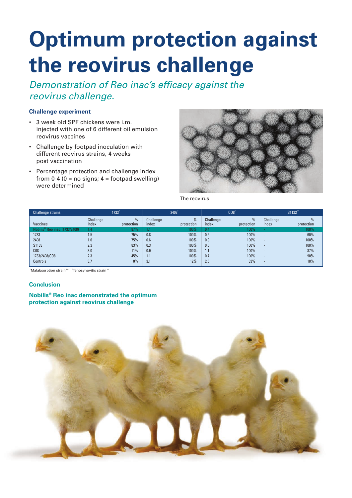# **Optimum protection against the reovirus challenge**

*Demonstration of Reo inac's efficacy against the reovirus challenge.*

#### **Challenge experiment**

- 3 week old SPF chickens were i.m. injected with one of 6 different oil emulsion reovirus vaccines
- Challenge by footpad inoculation with different reovirus strains, 4 weeks post vaccination
- Percentage protection and challenge index from 0-4  $(0 = no \text{ signs}; 4 = footballtext{footpad}})$ were determined



The reovirus

| <b>Challenge strains</b>                  |                    | 1733            |                    | 2408*           |                    | CO8             |                          | S1133**    |
|-------------------------------------------|--------------------|-----------------|--------------------|-----------------|--------------------|-----------------|--------------------------|------------|
| <b>Vaccines</b>                           | Challenge<br>Index | %<br>protection | Challenge<br>index | %<br>protection | Challenge<br>index | %<br>protection | Challenge<br>index       | protection |
| Nobilis <sup>®</sup> Reo inac (1733/2408) | 1.4                | 87%             | 1.1                | 100%            | 0.4                | $100\%$         |                          | 100%       |
| 1733                                      | 1.5                | 75%             | 0.8                | 100%            | 0.5                | 100%            | $\overline{a}$           | 60%        |
| 2408                                      | 1.6                | 75%             | 0.6                | 100%            | 0.9                | 100%            | $\overline{\phantom{a}}$ | 100%       |
| S1133                                     | 2.3                | 83%             | 0.3                | 100%            | 0.0                | 100%            | $\overline{\phantom{a}}$ | 100%       |
| C <sub>08</sub>                           | 3.0                | 11%             | 0.9                | 100%            | 1.1                | 100%            | $\overline{\phantom{a}}$ | 87%        |
| 1733/2408/CO8                             | 2.3                | 45%             | 1.1                | 100%            | 0.7                | 100%            | $\overline{\phantom{a}}$ | 90%        |
| Controls                                  | 3.7                | 0%              | 3.1                | 12%             | 2.6                | 33%             | $\overline{\phantom{a}}$ | 10%        |

\*Malabsorption strain<sup>8,9</sup> \*\*Tenosynovitis strain<sup>10</sup>

#### **Conclusion**

## **Nobilis® Reo inac demonstrated the optimum protection against reovirus challenge**

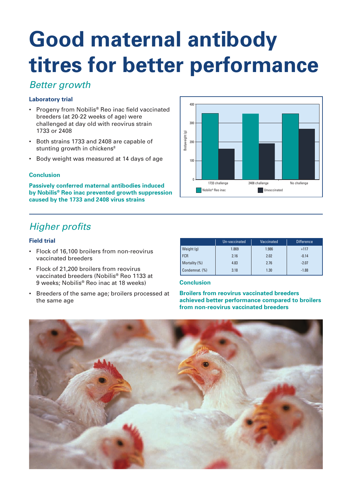# **Good maternal antibody titres for better performance**

# *Better growth*

# **Laboratory trial**

- Progeny from Nobilis<sup>®</sup> Reo inac field vaccinated breeders (at 20-22 weeks of age) were challenged at day old with reovirus strain 1733 or 2408
- Both strains 1733 and 2408 are capable of stunting growth in chickens<sup>8</sup>
- Body weight was measured at 14 days of age

## **Conclusion**

**Passively conferred maternal antibodies induced by Nobilis® Reo inac prevented growth suppression caused by the 1733 and 2408 virus strains**

# *Higher profits*

#### **Field trial**

- Flock of 16,100 broilers from non-reovirus vaccinated breeders
- • Flock of 21,200 broilers from reovirus vaccinated breeders (Nobilis® Reo 1133 at 9 weeks; Nobilis® Reo inac at 18 weeks)
- Breeders of the same age; broilers processed at the same age

|                | Un-vaccinated | <b>Vaccinated</b> | <b>Difference</b> |
|----------------|---------------|-------------------|-------------------|
| Weight $(g)$   | 1.869         | 1.986             | $+117$            |
| <b>FCR</b>     | 2.16          | 2.02              | $-0.14$           |
| Mortality (%)  | 4.83          | 2.76              | $-2.07$           |
| Condemnat. (%) | 3.18          | 1.30              | $-1.88$           |

## **Conclusion**

**Broilers from reovirus vaccinated breeders achieved better performance compared to broilers from non-reovirus vaccinated breeders**